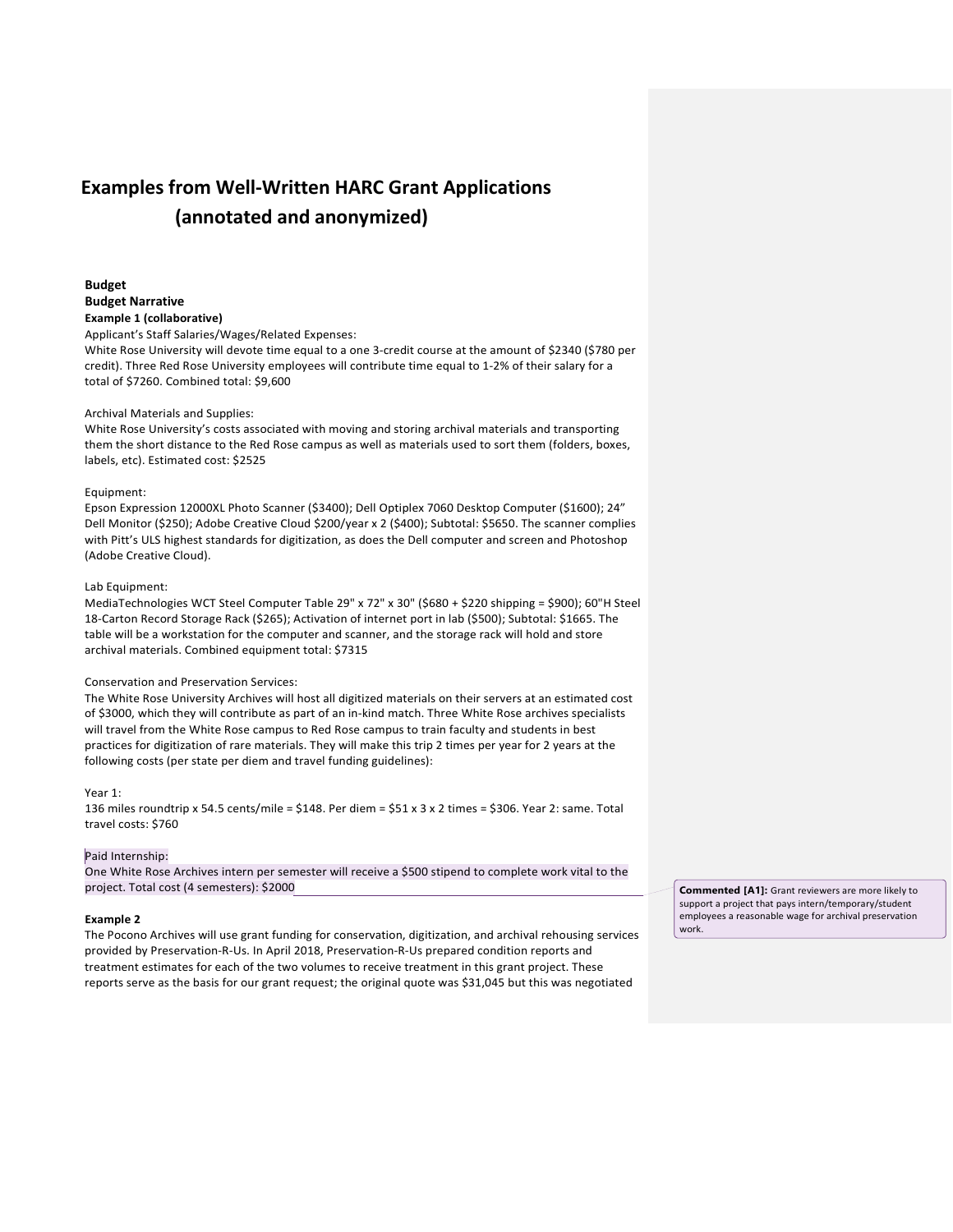# **Examples from Well-Written HARC Grant Applications (annotated and anonymized)**

**Budget Budget Narrative Example 1 (collaborative)**

Applicant's Staff Salaries/Wages/Related Expenses:

White Rose University will devote time equal to a one 3-credit course at the amount of \$2340 (\$780 per credit). Three Red Rose University employees will contribute time equal to 1-2% of their salary for a total of \$7260. Combined total: \$9,600

#### Archival Materials and Supplies:

White Rose University's costs associated with moving and storing archival materials and transporting them the short distance to the Red Rose campus as well as materials used to sort them (folders, boxes, labels, etc). Estimated cost: \$2525

#### Equipment:

Epson Expression 12000XL Photo Scanner (\$3400); Dell Optiplex 7060 Desktop Computer (\$1600); 24" Dell Monitor (\$250); Adobe Creative Cloud \$200/year x 2 (\$400); Subtotal: \$5650. The scanner complies with Pitt's ULS highest standards for digitization, as does the Dell computer and screen and Photoshop (Adobe Creative Cloud).

### Lab Equipment:

MediaTechnologies WCT Steel Computer Table 29" x 72" x 30" (\$680 + \$220 shipping = \$900); 60"H Steel 18-Carton Record Storage Rack (\$265); Activation of internet port in lab (\$500); Subtotal: \$1665. The table will be a workstation for the computer and scanner, and the storage rack will hold and store archival materials. Combined equipment total: \$7315

# Conservation and Preservation Services:

The White Rose University Archives will host all digitized materials on their servers at an estimated cost of \$3000, which they will contribute as part of an in-kind match. Three White Rose archives specialists will travel from the White Rose campus to Red Rose campus to train faculty and students in best practices for digitization of rare materials. They will make this trip 2 times per year for 2 years at the following costs (per state per diem and travel funding guidelines):

# Year 1:

136 miles roundtrip x 54.5 cents/mile = \$148. Per diem = \$51 x 3 x 2 times = \$306. Year 2: same. Total travel costs: \$760

#### Paid Internship:

One White Rose Archives intern per semester will receive a \$500 stipend to complete work vital to the project. Total cost (4 semesters): \$2000

#### **Example 2**

The Pocono Archives will use grant funding for conservation, digitization, and archival rehousing services provided by Preservation-R-Us. In April 2018, Preservation-R-Us prepared condition reports and treatment estimates for each of the two volumes to receive treatment in this grant project. These reports serve as the basis for our grant request; the original quote was \$31,045 but this was negotiated

**Commented [A1]:** Grant reviewers are more likely to support a project that pays intern/temporary/student employees a reasonable wage for archival preservation work.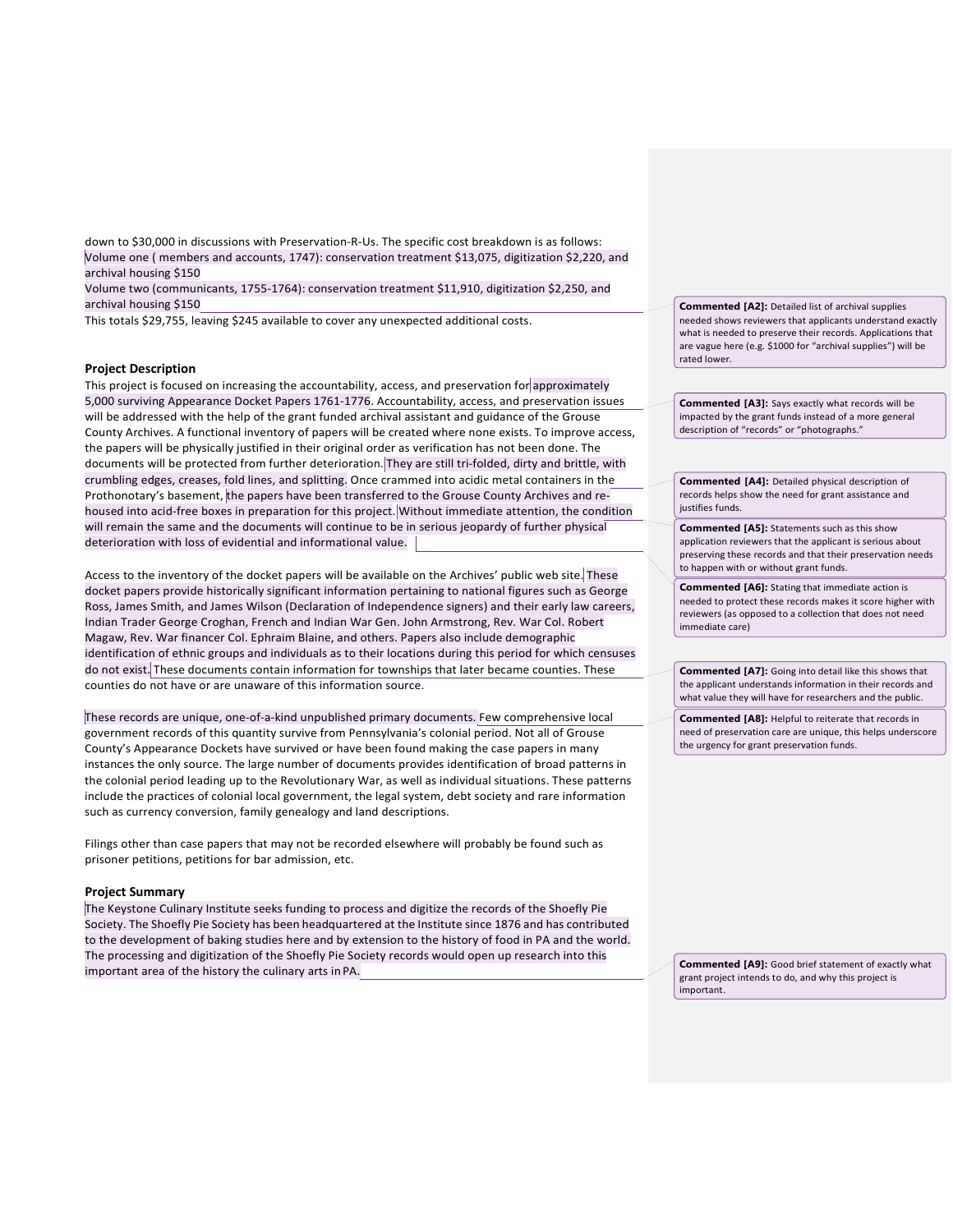down to \$30,000 in discussions with Preservation-R-Us. The specific cost breakdown is as follows: Volume one ( members and accounts, 1747): conservation treatment \$13,075, digitization \$2,220, and archival housing \$150

Volume two (communicants, 1755-1764): conservation treatment \$11,910, digitization \$2,250, and archival housing \$150

This totals \$29,755, leaving \$245 available to cover any unexpected additional costs.

# **Project Description**

This project is focused on increasing the accountability, access, and preservation for approximately 5,000 surviving Appearance Docket Papers 1761-1776. Accountability, access, and preservation issues will be addressed with the help of the grant funded archival assistant and guidance of the Grouse County Archives. A functional inventory of papers will be created where none exists. To improve access, the papers will be physically justified in their original order as verification has not been done. The documents will be protected from further deterioration. They are still tri-folded, dirty and brittle, with crumbling edges, creases, fold lines, and splitting. Once crammed into acidic metal containers in the Prothonotary's basement, the papers have been transferred to the Grouse County Archives and rehoused into acid-free boxes in preparation for this project. Without immediate attention, the condition will remain the same and the documents will continue to be in serious jeopardy of further physical deterioration with loss of evidential and informational value.

Access to the inventory of the docket papers will be available on the Archives' public web site. These docket papers provide historically significant information pertaining to national figures such as George Ross, James Smith, and James Wilson (Declaration of Independence signers) and their early law careers, Indian Trader George Croghan, French and Indian War Gen. John Armstrong, Rev. War Col. Robert Magaw, Rev. War financer Col. Ephraim Blaine, and others. Papers also include demographic identification of ethnic groups and individuals as to their locations during this period for which censuses do not exist. These documents contain information for townships that later became counties. These counties do not have or are unaware of this information source.

These records are unique, one-of-a-kind unpublished primary documents. Few comprehensive local government records of this quantity survive from Pennsylvania's colonial period. Not all of Grouse County's Appearance Dockets have survived or have been found making the case papers in many instances the only source. The large number of documents provides identification of broad patterns in the colonial period leading up to the Revolutionary War, as well as individual situations. These patterns include the practices of colonial local government, the legal system, debt society and rare information such as currency conversion, family genealogy and land descriptions.

Filings other than case papers that may not be recorded elsewhere will probably be found such as prisoner petitions, petitions for bar admission, etc.

#### **Project Summary**

The Keystone Culinary Institute seeks funding to process and digitize the records of the Shoefly Pie Society. The Shoefly Pie Society has been headquartered at the Institute since 1876 and has contributed to the development of baking studies here and by extension to the history of food in PA and the world. The processing and digitization of the Shoefly Pie Society records would open up research into this important area of the history the culinary arts inPA.

**Commented [A2]:** Detailed list of archival supplies needed shows reviewers that applicants understand exactly what is needed to preserve their records. Applications that are vague here (e.g. \$1000 for "archival supplies") will be rated lower.

**Commented [A3]:** Says exactly what records will be impacted by the grant funds instead of a more general description of "records" or "photographs."

**Commented [A4]:** Detailed physical description of records helps show the need for grant assistance and justifies funds.

**Commented [A5]:** Statements such as this show application reviewers that the applicant is serious about preserving these records and that their preservation needs to happen with or without grant funds.

**Commented [A6]:** Stating that immediate action is needed to protect these records makes it score higher with reviewers (as opposed to a collection that does not need immediate care)

**Commented [A7]:** Going into detail like this shows that the applicant understands information in their records and what value they will have for researchers and the public.

**Commented [A8]:** Helpful to reiterate that records in need of preservation care are unique, this helps underscore the urgency for grant preservation funds.

**Commented [A9]:** Good brief statement of exactly what grant project intends to do, and why this project is important.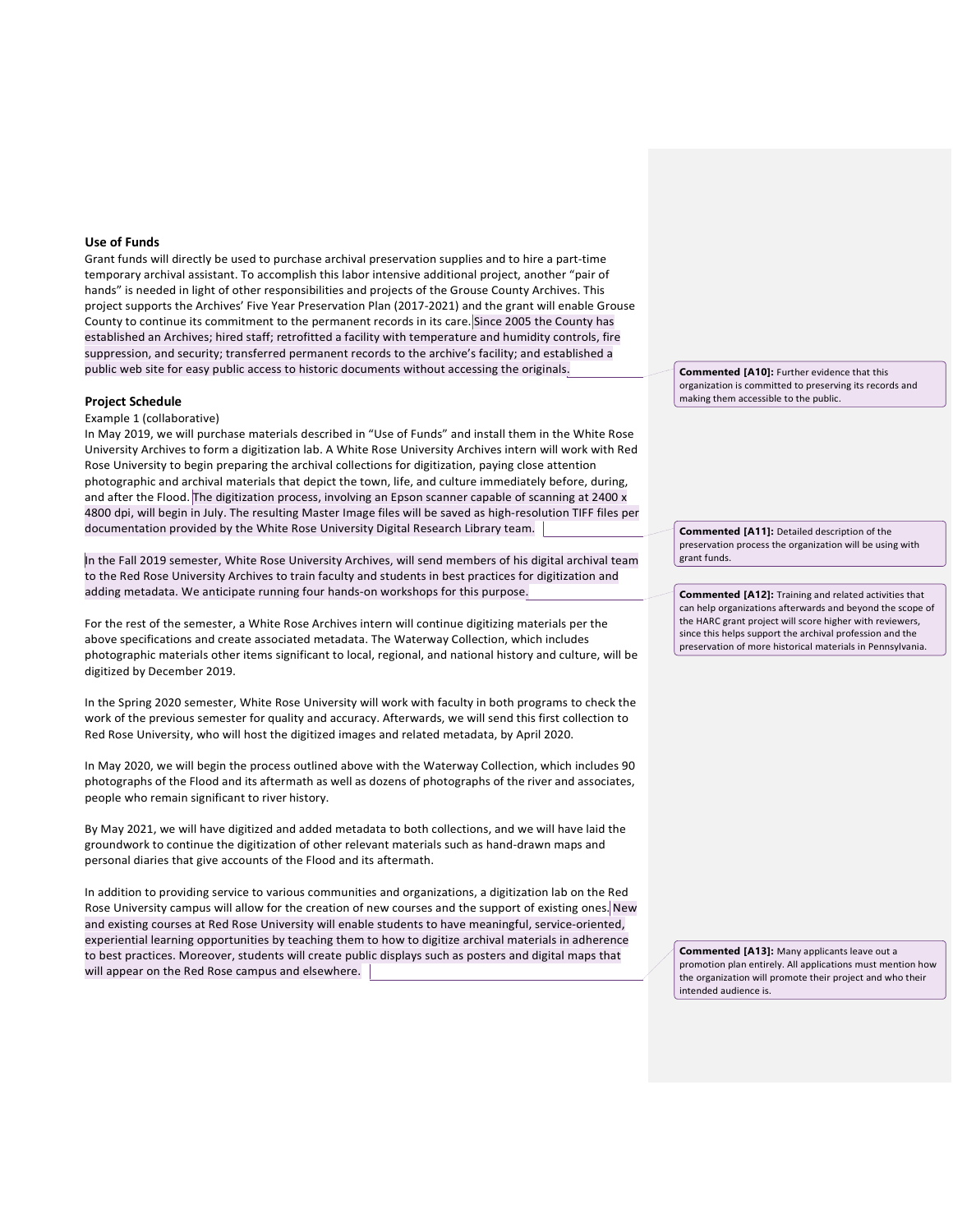#### **Use of Funds**

Grant funds will directly be used to purchase archival preservation supplies and to hire a part-time temporary archival assistant. To accomplish this labor intensive additional project, another "pair of hands" is needed in light of other responsibilities and projects of the Grouse County Archives. This project supports the Archives' Five Year Preservation Plan (2017-2021) and the grant will enable Grouse County to continue its commitment to the permanent records in its care. Since 2005 the County has established an Archives; hired staff; retrofitted a facility with temperature and humidity controls, fire suppression, and security; transferred permanent records to the archive's facility; and established a public web site for easy public access to historic documents without accessing the originals.

# **Project Schedule**

#### Example 1 (collaborative)

In May 2019, we will purchase materials described in "Use of Funds" and install them in the White Rose University Archives to form a digitization lab. A White Rose University Archives intern will work with Red Rose University to begin preparing the archival collections for digitization, paying close attention photographic and archival materials that depict the town, life, and culture immediately before, during, and after the Flood. The digitization process, involving an Epson scanner capable of scanning at 2400 x 4800 dpi, will begin in July. The resulting Master Image files will be saved as high-resolution TIFF files per documentation provided by the White Rose University Digital Research Library team.

In the Fall 2019 semester, White Rose University Archives, will send members of his digital archival team to the Red Rose University Archives to train faculty and students in best practices for digitization and adding metadata. We anticipate running four hands-on workshops for this purpose.

For the rest of the semester, a White Rose Archives intern will continue digitizing materials per the above specifications and create associated metadata. The Waterway Collection, which includes photographic materials other items significant to local, regional, and national history and culture, will be digitized by December 2019.

In the Spring 2020 semester, White Rose University will work with faculty in both programs to check the work of the previous semester for quality and accuracy. Afterwards, we will send this first collection to Red Rose University, who will host the digitized images and related metadata, by April 2020.

In May 2020, we will begin the process outlined above with the Waterway Collection, which includes 90 photographs of the Flood and its aftermath as well as dozens of photographs of the river and associates, people who remain significant to river history.

By May 2021, we will have digitized and added metadata to both collections, and we will have laid the groundwork to continue the digitization of other relevant materials such as hand-drawn maps and personal diaries that give accounts of the Flood and its aftermath.

In addition to providing service to various communities and organizations, a digitization lab on the Red Rose University campus will allow for the creation of new courses and the support of existing ones. New and existing courses at Red Rose University will enable students to have meaningful, service-oriented, experiential learning opportunities by teaching them to how to digitize archival materials in adherence to best practices. Moreover, students will create public displays such as posters and digital maps that will appear on the Red Rose campus and elsewhere.

**Commented [A10]:** Further evidence that this organization is committed to preserving its records and making them accessible to the public.

**Commented [A11]:** Detailed description of the preservation process the organization will be using with grant funds.

**Commented [A12]:** Training and related activities that can help organizations afterwards and beyond the scope of the HARC grant project will score higher with reviewers, since this helps support the archival profession and the preservation of more historical materials in Pennsylvania.

**Commented [A13]:** Many applicants leave out a promotion plan entirely. All applications must mention how the organization will promote their project and who their intended audience is.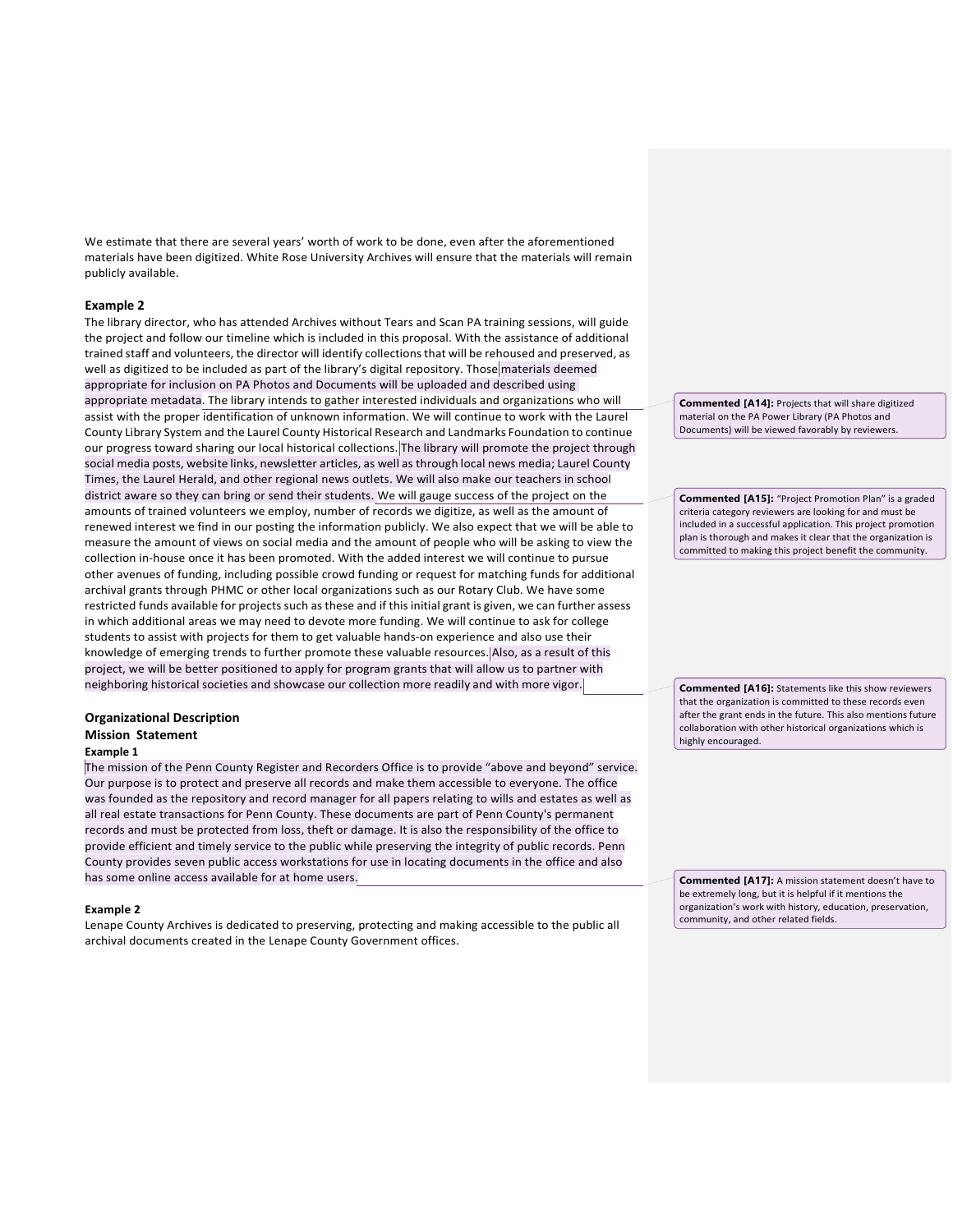We estimate that there are several years' worth of work to be done, even after the aforementioned materials have been digitized. White Rose University Archives will ensure that the materials will remain publicly available.

# **Example 2**

The library director, who has attended Archives without Tears and Scan PA training sessions, will guide the project and follow our timeline which is included in this proposal. With the assistance of additional trained staff and volunteers, the director will identify collectionsthat will be rehoused and preserved, as well as digitized to be included as part of the library's digital repository. Those materials deemed appropriate for inclusion on PA Photos and Documents will be uploaded and described using appropriate metadata. The library intends to gather interested individuals and organizations who will assist with the proper identification of unknown information. We will continue to work with the Laurel County Library System and the Laurel County Historical Research and Landmarks Foundation to continue our progress toward sharing our local historical collections. The library will promote the project through social media posts, website links, newsletter articles, as well as through local news media; Laurel County Times, the Laurel Herald, and other regional news outlets. We will also make our teachers in school district aware so they can bring or send their students. We will gauge success of the project on the amounts of trained volunteers we employ, number of records we digitize, as well as the amount of renewed interest we find in our posting the information publicly. We also expect that we will be able to measure the amount of views on social media and the amount of people who will be asking to view the collection in-house once it has been promoted. With the added interest we will continue to pursue other avenues of funding, including possible crowd funding or request for matching funds for additional archival grants through PHMC or other local organizations such as our Rotary Club. We have some restricted funds available for projects such as these and if this initial grant is given, we can further assess in which additional areas we may need to devote more funding. We will continue to ask for college students to assist with projects for them to get valuable hands-on experience and also use their knowledge of emerging trends to further promote these valuable resources. Also, as a result of this project, we will be better positioned to apply for program grants that will allow us to partner with neighboring historical societies and showcase our collection more readily and with more vigor.

# **Organizational Description Mission Statement**

# **Example 1**

The mission of the Penn County Register and Recorders Office is to provide "above and beyond" service. Our purpose is to protect and preserve all records and make them accessible to everyone. The office was founded as the repository and record manager for all papers relating to wills and estates as well as all real estate transactions for Penn County. These documents are part of Penn County's permanent records and must be protected from loss, theft or damage. It is also the responsibility of the office to provide efficient and timely service to the public while preserving the integrity of public records. Penn County provides seven public access workstations for use in locating documents in the office and also has some online access available for at home users.

#### **Example 2**

Lenape County Archives is dedicated to preserving, protecting and making accessible to the public all archival documents created in the Lenape County Government offices.

**Commented [A14]:** Projects that will share digitized material on the PA Power Library (PA Photos and Documents) will be viewed favorably by reviewers.

**Commented [A15]:** "Project Promotion Plan" is a graded criteria category reviewers are looking for and must be included in a successful application. This project promotion plan is thorough and makes it clear that the organization is committed to making this project benefit the community.

**Commented [A16]:** Statements like this show reviewers that the organization is committed to these records even after the grant ends in the future. This also mentions future collaboration with other historical organizations which is highly encouraged.

**Commented [A17]:** A mission statement doesn't have to be extremely long, but it is helpful if it mentions the organization's work with history, education, preservation, community, and other related fields.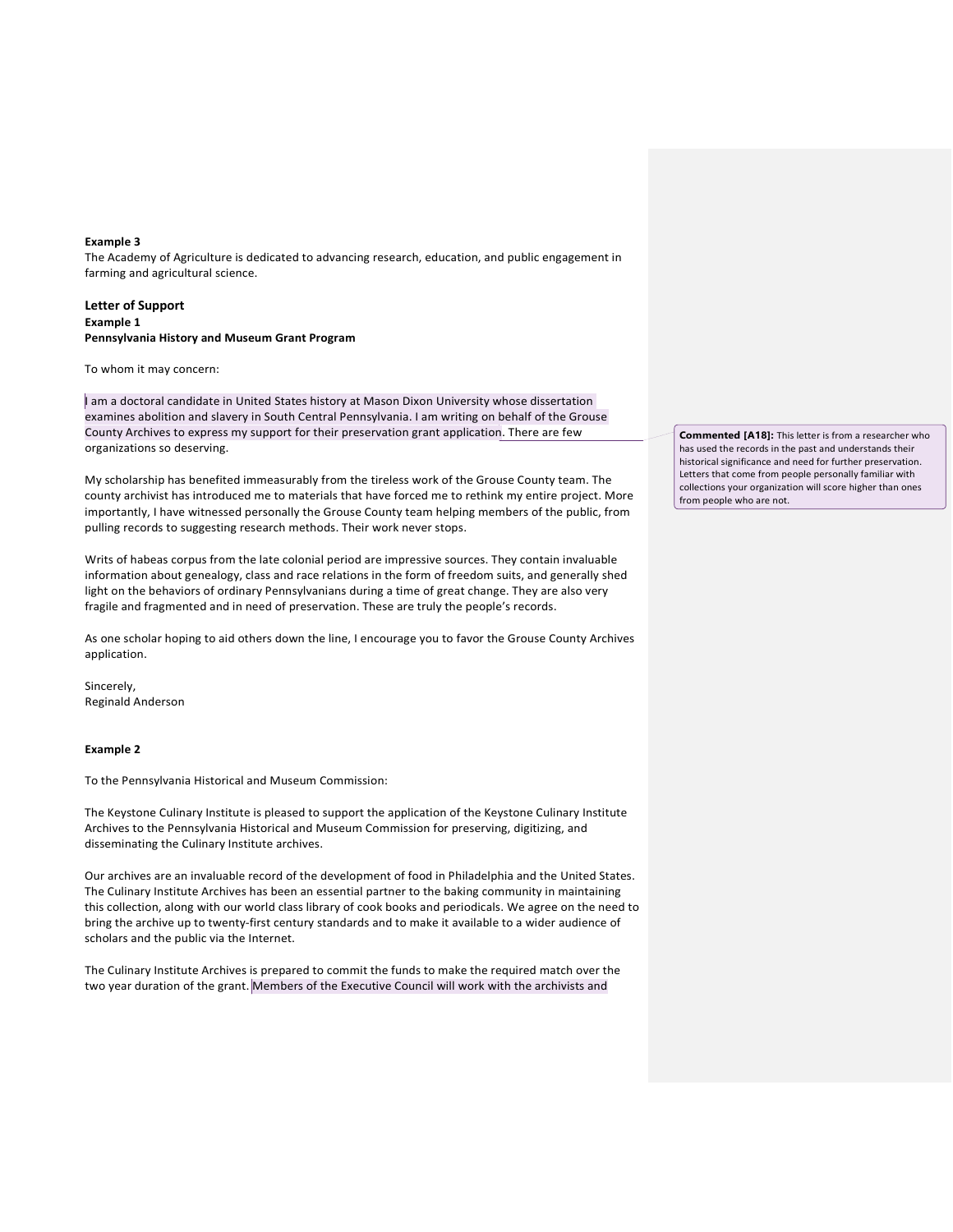# **Example 3**

The Academy of Agriculture is dedicated to advancing research, education, and public engagement in farming and agricultural science.

# **Letter of Support Example 1 Pennsylvania History and Museum Grant Program**

To whom it may concern:

I am a doctoral candidate in United States history at Mason Dixon University whose dissertation examines abolition and slavery in South Central Pennsylvania. I am writing on behalf of the Grouse County Archives to express my support for their preservation grant application. There are few organizations so deserving.

My scholarship has benefited immeasurably from the tireless work of the Grouse County team. The county archivist has introduced me to materials that have forced me to rethink my entire project. More importantly, I have witnessed personally the Grouse County team helping members of the public, from pulling records to suggesting research methods. Their work never stops.

Writs of habeas corpus from the late colonial period are impressive sources. They contain invaluable information about genealogy, class and race relations in the form of freedom suits, and generally shed light on the behaviors of ordinary Pennsylvanians during a time of great change. They are also very fragile and fragmented and in need of preservation. These are truly the people's records.

As one scholar hoping to aid others down the line, I encourage you to favor the Grouse County Archives application.

Sincerely, Reginald Anderson

#### **Example 2**

To the Pennsylvania Historical and Museum Commission:

The Keystone Culinary Institute is pleased to support the application of the Keystone Culinary Institute Archives to the Pennsylvania Historical and Museum Commission for preserving, digitizing, and disseminating the Culinary Institute archives.

Our archives are an invaluable record of the development of food in Philadelphia and the United States. The Culinary Institute Archives has been an essential partner to the baking community in maintaining this collection, along with our world class library of cook books and periodicals. We agree on the need to bring the archive up to twenty-first century standards and to make it available to a wider audience of scholars and the public via the Internet.

The Culinary Institute Archives is prepared to commit the funds to make the required match over the two year duration of the grant. Members of the Executive Council will work with the archivists and

**Commented [A18]:** This letter is from a researcher who has used the records in the past and understands their historical significance and need for further preservation. Letters that come from people personally familiar with collections your organization will score higher than ones from people who are not.